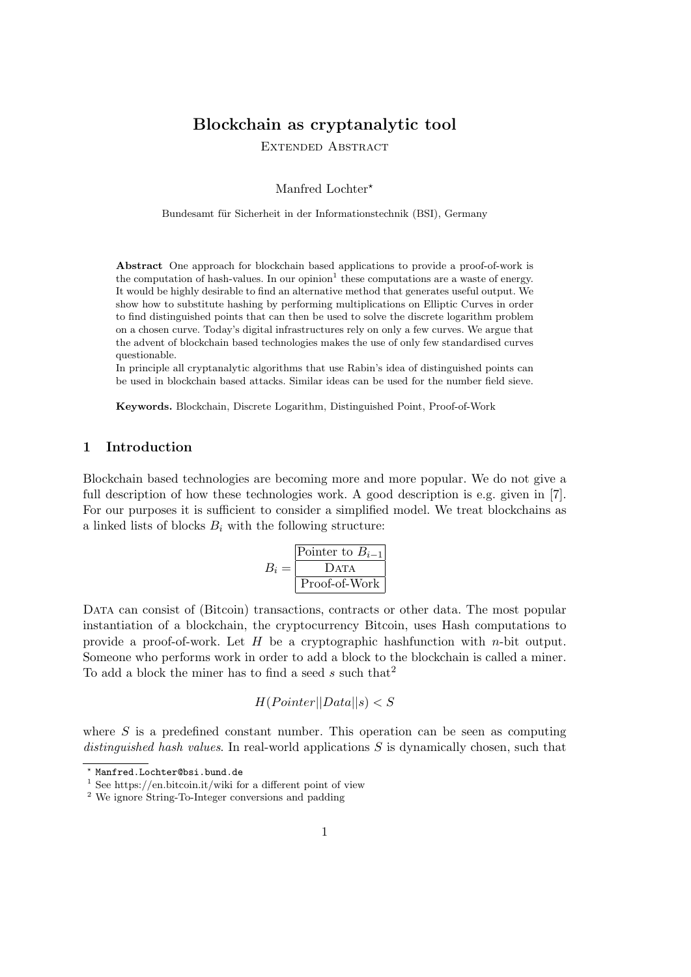# Blockchain as cryptanalytic tool

Extended Abstract

Manfred Lochter\*

Bundesamt für Sicherheit in der Informationstechnik (BSI), Germany

Abstract One approach for blockchain based applications to provide a proof-of-work is the computation of hash-values. In our opinion<sup>1</sup> these computations are a waste of energy. It would be highly desirable to find an alternative method that generates useful output. We show how to substitute hashing by performing multiplications on Elliptic Curves in order to find distinguished points that can then be used to solve the discrete logarithm problem on a chosen curve. Today's digital infrastructures rely on only a few curves. We argue that the advent of blockchain based technologies makes the use of only few standardised curves questionable.

In principle all cryptanalytic algorithms that use Rabin's idea of distinguished points can be used in blockchain based attacks. Similar ideas can be used for the number field sieve.

Keywords. Blockchain, Discrete Logarithm, Distinguished Point, Proof-of-Work

## 1 Introduction

Blockchain based technologies are becoming more and more popular. We do not give a full description of how these technologies work. A good description is e.g. given in [7]. For our purposes it is sufficient to consider a simplified model. We treat blockchains as a linked lists of blocks  $B_i$  with the following structure:

$$
B_i = \frac{\frac{\text{Pointer to } B_{i-1}}{\text{DATA}}}{\text{Proof-of-Work}}
$$

DATA can consist of (Bitcoin) transactions, contracts or other data. The most popular instantiation of a blockchain, the cryptocurrency Bitcoin, uses Hash computations to provide a proof-of-work. Let  $H$  be a cryptographic hashfunction with *n*-bit output. Someone who performs work in order to add a block to the blockchain is called a miner. To add a block the miner has to find a seed s such that<sup>2</sup>

$$
H(Pointer||Data||s) < S
$$

where  $S$  is a predefined constant number. This operation can be seen as computing distinguished hash values. In real-world applications  $S$  is dynamically chosen, such that

<sup>?</sup> Manfred.Lochter@bsi.bund.de

<sup>&</sup>lt;sup>1</sup> See https://en.bitcoin.it/wiki for a different point of view

<sup>2</sup> We ignore String-To-Integer conversions and padding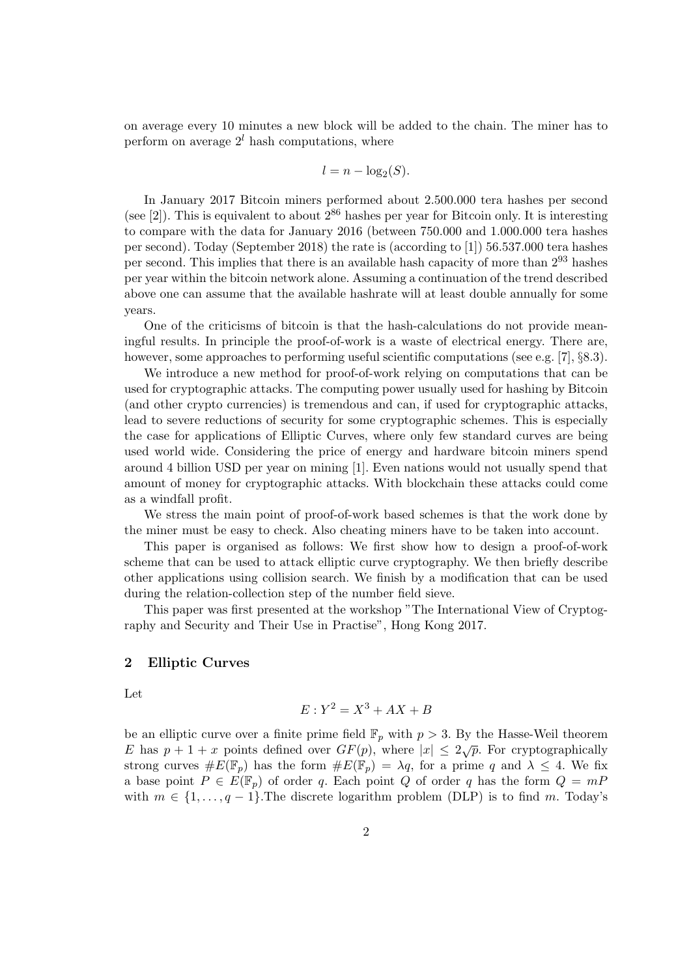on average every 10 minutes a new block will be added to the chain. The miner has to perform on average  $2^l$  hash computations, where

$$
l = n - \log_2(S).
$$

In January 2017 Bitcoin miners performed about 2.500.000 tera hashes per second (see [2]). This is equivalent to about  $2^{86}$  hashes per year for Bitcoin only. It is interesting to compare with the data for January 2016 (between 750.000 and 1.000.000 tera hashes per second). Today (September 2018) the rate is (according to [1]) 56.537.000 tera hashes per second. This implies that there is an available hash capacity of more than 2<sup>93</sup> hashes per year within the bitcoin network alone. Assuming a continuation of the trend described above one can assume that the available hashrate will at least double annually for some years.

One of the criticisms of bitcoin is that the hash-calculations do not provide meaningful results. In principle the proof-of-work is a waste of electrical energy. There are, however, some approaches to performing useful scientific computations (see e.g. [7], §8.3).

We introduce a new method for proof-of-work relying on computations that can be used for cryptographic attacks. The computing power usually used for hashing by Bitcoin (and other crypto currencies) is tremendous and can, if used for cryptographic attacks, lead to severe reductions of security for some cryptographic schemes. This is especially the case for applications of Elliptic Curves, where only few standard curves are being used world wide. Considering the price of energy and hardware bitcoin miners spend around 4 billion USD per year on mining [1]. Even nations would not usually spend that amount of money for cryptographic attacks. With blockchain these attacks could come as a windfall profit.

We stress the main point of proof-of-work based schemes is that the work done by the miner must be easy to check. Also cheating miners have to be taken into account.

This paper is organised as follows: We first show how to design a proof-of-work scheme that can be used to attack elliptic curve cryptography. We then briefly describe other applications using collision search. We finish by a modification that can be used during the relation-collection step of the number field sieve.

This paper was first presented at the workshop "The International View of Cryptography and Security and Their Use in Practise", Hong Kong 2017.

## 2 Elliptic Curves

Let

$$
E: Y^2 = X^3 + AX + B
$$

be an elliptic curve over a finite prime field  $\mathbb{F}_p$  with  $p > 3$ . By the Hasse-Weil theorem E has  $p + 1 + x$  points defined over  $GF(p)$ , where  $|x| \le 2\sqrt{p}$ . For cryptographically strong curves  $\#E(\mathbb{F}_p)$  has the form  $\#E(\mathbb{F}_p) = \lambda q$ , for a prime q and  $\lambda \leq 4$ . We fix a base point  $P \in E(\mathbb{F}_p)$  of order q. Each point Q of order q has the form  $Q = mP$ with  $m \in \{1, \ldots, q-1\}$ . The discrete logarithm problem (DLP) is to find m. Today's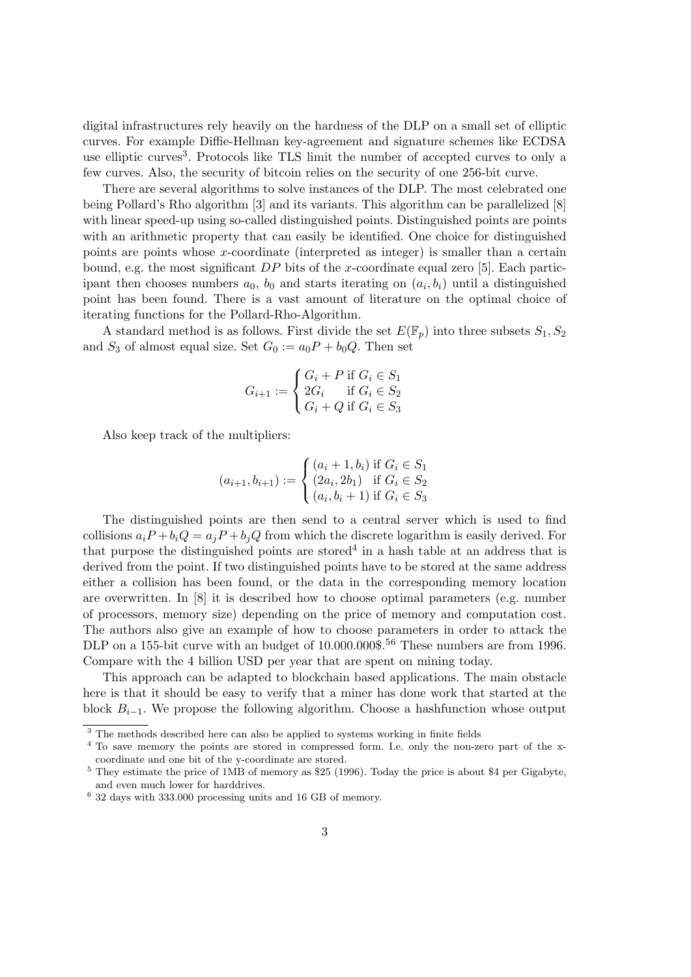digital infrastructures rely heavily on the hardness of the DLP on a small set of elliptic curves. For example Diffie-Hellman key-agreement and signature schemes like ECDSA use elliptic curves<sup>3</sup>. Protocols like TLS limit the number of accepted curves to only a few curves. Also, the security of bitcoin relies on the security of one 256-bit curve.

There are several algorithms to solve instances of the DLP. The most celebrated one being Pollard's Rho algorithm [3] and its variants. This algorithm can be parallelized [8] with linear speed-up using so-called distinguished points. Distinguished points are points with an arithmetic property that can easily be identified. One choice for distinguished points are points whose x-coordinate (interpreted as integer) is smaller than a certain bound, e.g. the most significant  $DP$  bits of the x-coordinate equal zero [5]. Each participant then chooses numbers  $a_0$ ,  $b_0$  and starts iterating on  $(a_i, b_i)$  until a distinguished point has been found. There is a vast amount of literature on the optimal choice of iterating functions for the Pollard-Rho-Algorithm.

A standard method is as follows. First divide the set  $E(\mathbb{F}_n)$  into three subsets  $S_1, S_2$ and  $S_3$  of almost equal size. Set  $G_0 := a_0 P + b_0 Q$ . Then set

$$
G_{i+1} := \begin{cases} G_i + P & \text{if } G_i \in S_1 \\ 2G_i & \text{if } G_i \in S_2 \\ G_i + Q & \text{if } G_i \in S_3 \end{cases}
$$

Also keep track of the multipliers:

$$
(a_{i+1}, b_{i+1}) := \begin{cases} (a_i + 1, b_i) \text{ if } G_i \in S_1 \\ (2a_i, 2b_1) \text{ if } G_i \in S_2 \\ (a_i, b_i + 1) \text{ if } G_i \in S_3 \end{cases}
$$

The distinguished points are then send to a central server which is used to find collisions  $a_iP + b_iQ = a_iP + b_iQ$  from which the discrete logarithm is easily derived. For that purpose the distinguished points are stored<sup>4</sup> in a hash table at an address that is derived from the point. If two distinguished points have to be stored at the same address either a collision has been found, or the data in the corresponding memory location are overwritten. In [8] it is described how to choose optimal parameters (e.g. number of processors, memory size) depending on the price of memory and computation cost. The authors also give an example of how to choose parameters in order to attack the DLP on a 155-bit curve with an budget of 10.000.000\$.<sup>56</sup> These numbers are from 1996. Compare with the 4 billion USD per year that are spent on mining today.

This approach can be adapted to blockchain based applications. The main obstacle here is that it should be easy to verify that a miner has done work that started at the block  $B_{i-1}$ . We propose the following algorithm. Choose a hashfunction whose output

<sup>&</sup>lt;sup>3</sup> The methods described here can also be applied to systems working in finite fields

<sup>4</sup> To save memory the points are stored in compressed form. I.e. only the non-zero part of the xcoordinate and one bit of the y-coordinate are stored.

<sup>5</sup> They estimate the price of 1MB of memory as \$25 (1996). Today the price is about \$4 per Gigabyte, and even much lower for harddrives.

<sup>6</sup> 32 days with 333.000 processing units and 16 GB of memory.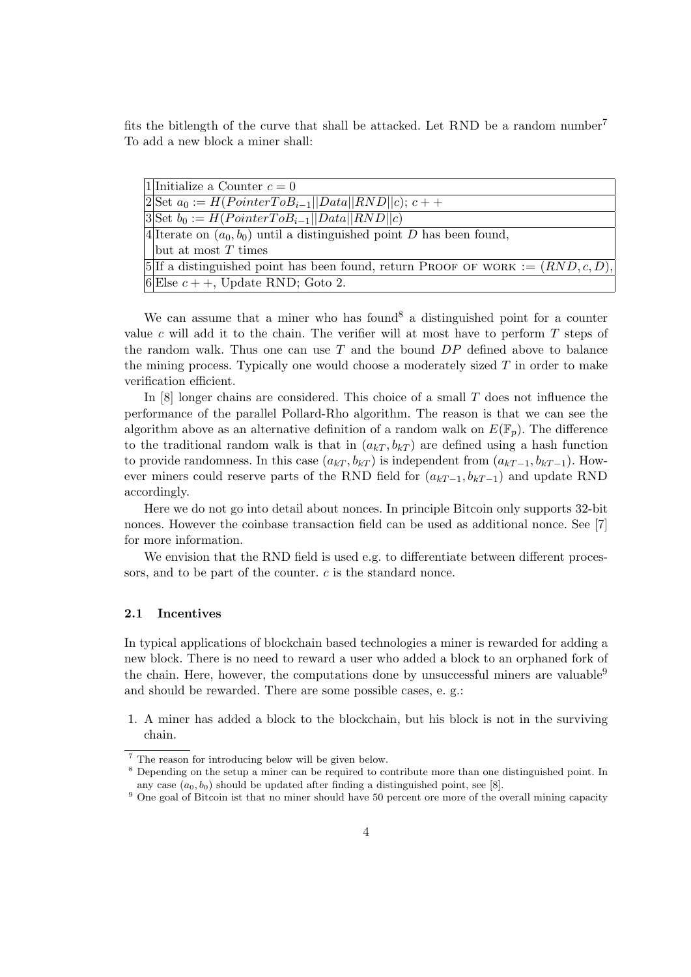fits the bitlength of the curve that shall be attacked. Let RND be a random number<sup>7</sup> To add a new block a miner shall:

| 1. Initialize a Counter $c=0$                                                       |
|-------------------------------------------------------------------------------------|
| $2\text{Set }a_0 := H(PointerToB_{i-1}  Data  RND  c); c++$                         |
| $3\text{Set } b_0 := H(PointerToB_{i-1}  Data  RND  c)$                             |
| $4$ Iterate on $(a_0, b_0)$ until a distinguished point D has been found,           |
| $\vert$ but at most T times                                                         |
| 5. If a distinguished point has been found, return PROOF OF WORK := $(RND, c, D)$ , |
| 6 Else $c$ + +, Update RND; Goto 2.                                                 |
|                                                                                     |

We can assume that a miner who has found  $\delta$  a distinguished point for a counter value c will add it to the chain. The verifier will at most have to perform  $T$  steps of the random walk. Thus one can use  $T$  and the bound  $DP$  defined above to balance the mining process. Typically one would choose a moderately sized  $T$  in order to make verification efficient.

In [8] longer chains are considered. This choice of a small T does not influence the performance of the parallel Pollard-Rho algorithm. The reason is that we can see the algorithm above as an alternative definition of a random walk on  $E(\mathbb{F}_p)$ . The difference to the traditional random walk is that in  $(a_{kT}, b_{kT})$  are defined using a hash function to provide randomness. In this case  $(a_{kT}, b_{kT})$  is independent from  $(a_{kT-1}, b_{kT-1})$ . However miners could reserve parts of the RND field for  $(a_{kT-1}, b_{kT-1})$  and update RND accordingly.

Here we do not go into detail about nonces. In principle Bitcoin only supports 32-bit nonces. However the coinbase transaction field can be used as additional nonce. See [7] for more information.

We envision that the RND field is used e.g. to differentiate between different processors, and to be part of the counter.  $c$  is the standard nonce.

#### 2.1 Incentives

In typical applications of blockchain based technologies a miner is rewarded for adding a new block. There is no need to reward a user who added a block to an orphaned fork of the chain. Here, however, the computations done by unsuccessful miners are valuable<sup>9</sup> and should be rewarded. There are some possible cases, e. g.:

1. A miner has added a block to the blockchain, but his block is not in the surviving chain.

<sup>7</sup> The reason for introducing below will be given below.

<sup>&</sup>lt;sup>8</sup> Depending on the setup a miner can be required to contribute more than one distinguished point. In any case  $(a_0, b_0)$  should be updated after finding a distinguished point, see [8].

<sup>&</sup>lt;sup>9</sup> One goal of Bitcoin ist that no miner should have 50 percent ore more of the overall mining capacity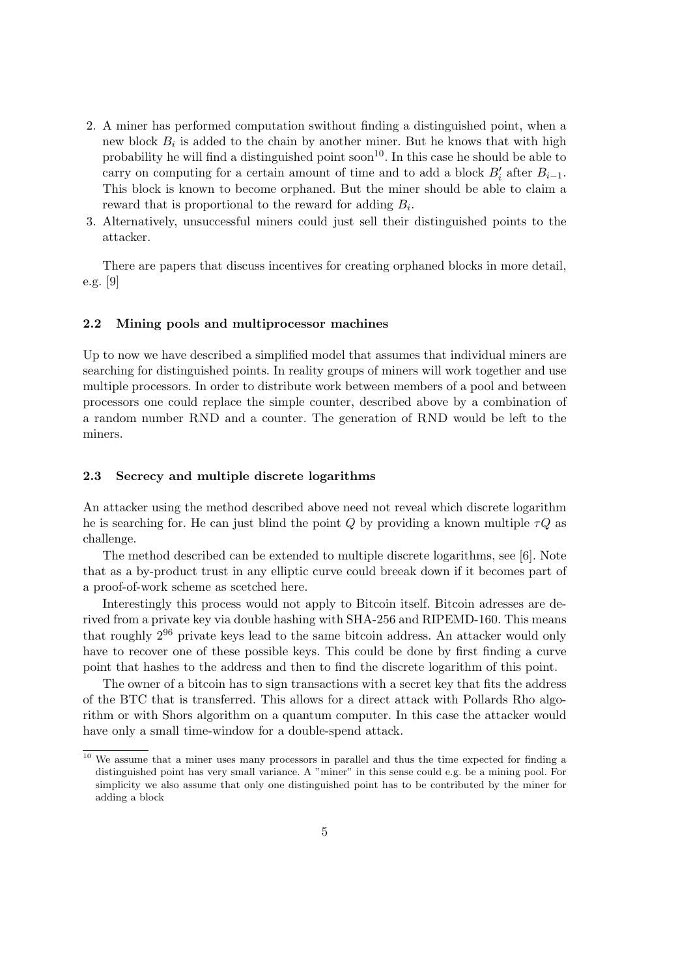- 2. A miner has performed computation swithout finding a distinguished point, when a new block  $B_i$  is added to the chain by another miner. But he knows that with high probability he will find a distinguished point soon<sup>10</sup>. In this case he should be able to carry on computing for a certain amount of time and to add a block  $B'_i$  after  $B_{i-1}$ . This block is known to become orphaned. But the miner should be able to claim a reward that is proportional to the reward for adding  $B_i$ .
- 3. Alternatively, unsuccessful miners could just sell their distinguished points to the attacker.

There are papers that discuss incentives for creating orphaned blocks in more detail, e.g. [9]

#### 2.2 Mining pools and multiprocessor machines

Up to now we have described a simplified model that assumes that individual miners are searching for distinguished points. In reality groups of miners will work together and use multiple processors. In order to distribute work between members of a pool and between processors one could replace the simple counter, described above by a combination of a random number RND and a counter. The generation of RND would be left to the miners.

## 2.3 Secrecy and multiple discrete logarithms

An attacker using the method described above need not reveal which discrete logarithm he is searching for. He can just blind the point Q by providing a known multiple  $\tau Q$  as challenge.

The method described can be extended to multiple discrete logarithms, see [6]. Note that as a by-product trust in any elliptic curve could breeak down if it becomes part of a proof-of-work scheme as scetched here.

Interestingly this process would not apply to Bitcoin itself. Bitcoin adresses are derived from a private key via double hashing with SHA-256 and RIPEMD-160. This means that roughly 2<sup>96</sup> private keys lead to the same bitcoin address. An attacker would only have to recover one of these possible keys. This could be done by first finding a curve point that hashes to the address and then to find the discrete logarithm of this point.

The owner of a bitcoin has to sign transactions with a secret key that fits the address of the BTC that is transferred. This allows for a direct attack with Pollards Rho algorithm or with Shors algorithm on a quantum computer. In this case the attacker would have only a small time-window for a double-spend attack.

 $\frac{10}{10}$  We assume that a miner uses many processors in parallel and thus the time expected for finding a distinguished point has very small variance. A "miner" in this sense could e.g. be a mining pool. For simplicity we also assume that only one distinguished point has to be contributed by the miner for adding a block